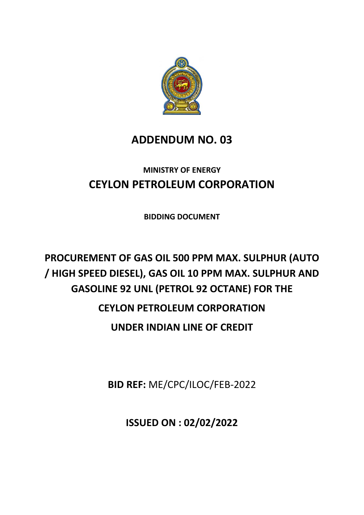

## **ADDENDUM NO. 03**

# **MINISTRY OF ENERGY CEYLON PETROLEUM CORPORATION**

**BIDDING DOCUMENT**

# **PROCUREMENT OF GAS OIL 500 PPM MAX. SULPHUR (AUTO / HIGH SPEED DIESEL), GAS OIL 10 PPM MAX. SULPHUR AND GASOLINE 92 UNL (PETROL 92 OCTANE) FOR THE CEYLON PETROLEUM CORPORATION UNDER INDIAN LINE OF CREDIT**

**BID REF:** ME/CPC/ILOC/FEB-2022

**ISSUED ON : 02/02/2022**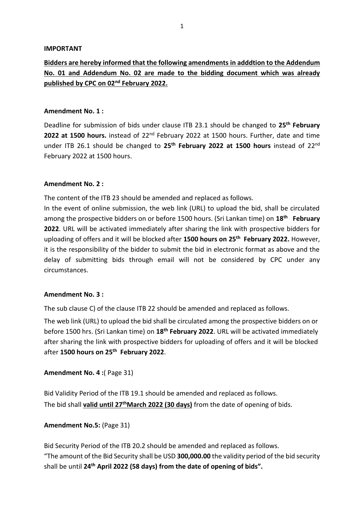#### **IMPORTANT**

## **Bidders are hereby informed that the following amendments in adddtion to the Addendum No. 01 and Addendum No. 02 are made to the bidding document which was already published by CPC on 02nd February 2022.**

#### **Amendment No. 1 :**

Deadline for submission of bids under clause ITB 23.1 should be changed to **25 th February 2022 at 1500 hours.** instead of 22nd February 2022 at 1500 hours. Further, date and time under ITB 26.1 should be changed to **25 th February 2022 at 1500 hours** instead of 22nd February 2022 at 1500 hours.

#### **Amendment No. 2 :**

The content of the ITB 23 should be amended and replaced as follows.

In the event of online submission, the web link (URL) to upload the bid, shall be circulated among the prospective bidders on or before 1500 hours. (Sri Lankan time) on **18th February 2022**. URL will be activated immediately after sharing the link with prospective bidders for uploading of offers and it will be blocked after **1500 hours on 25th February 2022.** However, it is the responsibility of the bidder to submit the bid in electronic format as above and the delay of submitting bids through email will not be considered by CPC under any circumstances.

#### **Amendment No. 3 :**

The sub clause C) of the clause ITB 22 should be amended and replaced as follows.

The web link (URL) to upload the bid shall be circulated among the prospective bidders on or before 1500 hrs. (Sri Lankan time) on **18th February 2022**. URL will be activated immediately after sharing the link with prospective bidders for uploading of offers and it will be blocked after **1500 hours on 25th February 2022**.

#### **Amendment No. 4 :**( Page 31)

Bid Validity Period of the ITB 19.1 should be amended and replaced as follows. The bid shall **valid until 27 thMarch 2022 (30 days)** from the date of opening of bids.

#### **Amendment No.5:** (Page 31)

Bid Security Period of the ITB 20.2 should be amended and replaced as follows. "The amount of the Bid Security shall be USD **300,000.00** the validity period of the bid security shall be until **24 th April 2022 (58 days) from the date of opening of bids".**